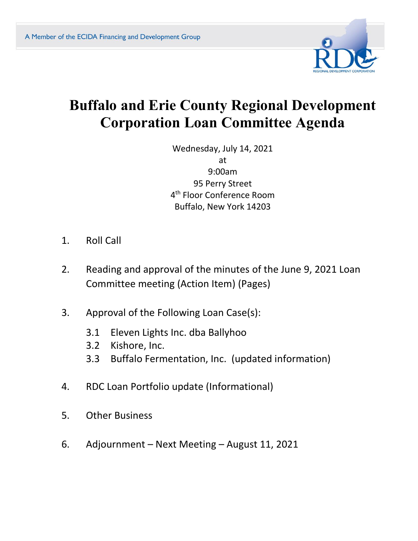

# **Buffalo and Erie County Regional Development Corporation Loan Committee Agenda**

Wednesday, July 14, 2021 at 9:00am 95 Perry Street 4 th Floor Conference Room Buffalo, New York 14203

- 1. Roll Call
- 2. Reading and approval of the minutes of the June 9, 2021 Loan Committee meeting (Action Item) (Pages)
- 3. Approval of the Following Loan Case(s):
	- 3.1 Eleven Lights Inc. dba Ballyhoo
	- 3.2 Kishore, Inc.
	- 3.3 Buffalo Fermentation, Inc. (updated information)
- 4. RDC Loan Portfolio update (Informational)
- 5. Other Business
- 6. Adjournment Next Meeting August 11, 2021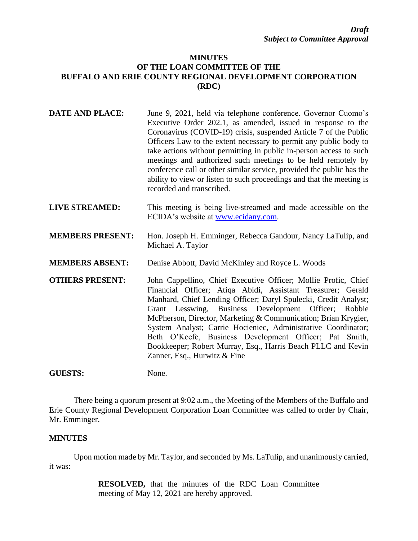### **MINUTES OF THE LOAN COMMITTEE OF THE BUFFALO AND ERIE COUNTY REGIONAL DEVELOPMENT CORPORATION (RDC)**

| <b>DATE AND PLACE:</b>  | June 9, 2021, held via telephone conference. Governor Cuomo's<br>Executive Order 202.1, as amended, issued in response to the<br>Coronavirus (COVID-19) crisis, suspended Article 7 of the Public<br>Officers Law to the extent necessary to permit any public body to<br>take actions without permitting in public in-person access to such<br>meetings and authorized such meetings to be held remotely by<br>conference call or other similar service, provided the public has the<br>ability to view or listen to such proceedings and that the meeting is<br>recorded and transcribed. |
|-------------------------|---------------------------------------------------------------------------------------------------------------------------------------------------------------------------------------------------------------------------------------------------------------------------------------------------------------------------------------------------------------------------------------------------------------------------------------------------------------------------------------------------------------------------------------------------------------------------------------------|
| <b>LIVE STREAMED:</b>   | This meeting is being live-streamed and made accessible on the<br>ECIDA's website at www.ecidany.com.                                                                                                                                                                                                                                                                                                                                                                                                                                                                                       |
| <b>MEMBERS PRESENT:</b> | Hon. Joseph H. Emminger, Rebecca Gandour, Nancy LaTulip, and<br>Michael A. Taylor                                                                                                                                                                                                                                                                                                                                                                                                                                                                                                           |
| <b>MEMBERS ABSENT:</b>  | Denise Abbott, David McKinley and Royce L. Woods                                                                                                                                                                                                                                                                                                                                                                                                                                                                                                                                            |
| <b>OTHERS PRESENT:</b>  | John Cappellino, Chief Executive Officer; Mollie Profic, Chief<br>Financial Officer; Atiqa Abidi, Assistant Treasurer; Gerald<br>Manhard, Chief Lending Officer; Daryl Spulecki, Credit Analyst;<br>Grant Lesswing, Business Development Officer; Robbie<br>McPherson, Director, Marketing & Communication; Brian Krygier,<br>System Analyst; Carrie Hocieniec, Administrative Coordinator;<br>Beth O'Keefe, Business Development Officer; Pat Smith,<br>Bookkeeper; Robert Murray, Esq., Harris Beach PLLC and Kevin<br>Zanner, Esq., Hurwitz & Fine                                       |
| <b>GUESTS:</b>          | None.                                                                                                                                                                                                                                                                                                                                                                                                                                                                                                                                                                                       |

There being a quorum present at 9:02 a.m., the Meeting of the Members of the Buffalo and Erie County Regional Development Corporation Loan Committee was called to order by Chair, Mr. Emminger.

#### **MINUTES**

Upon motion made by Mr. Taylor, and seconded by Ms. LaTulip, and unanimously carried, it was:

> **RESOLVED,** that the minutes of the RDC Loan Committee meeting of May 12, 2021 are hereby approved.